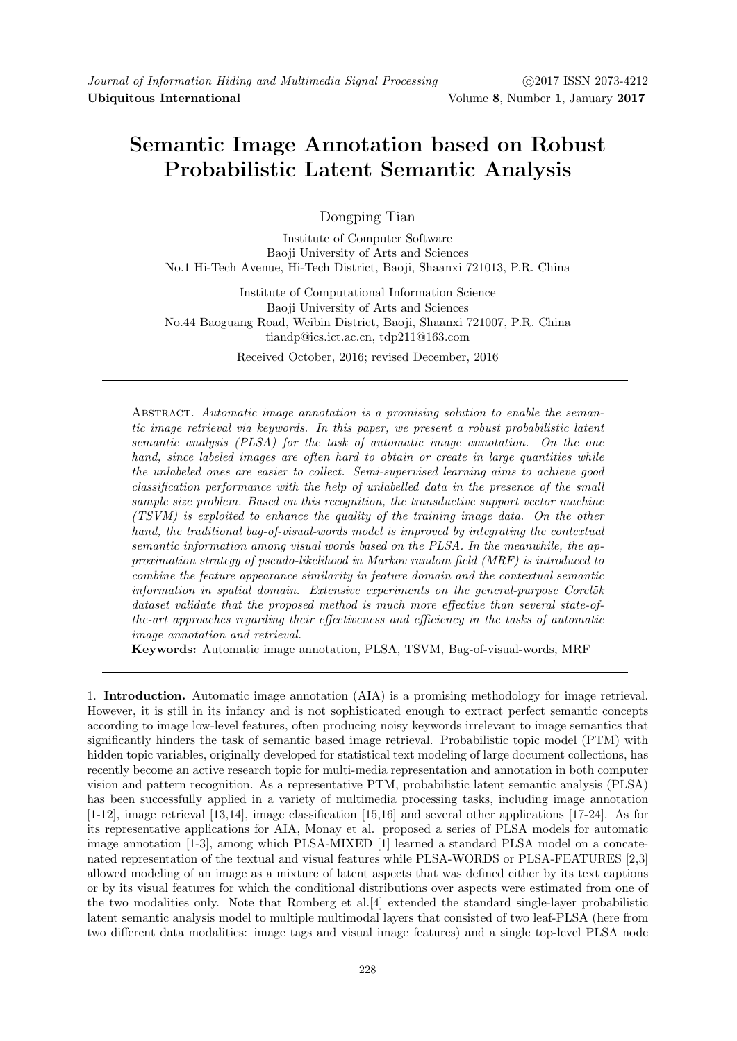# Semantic Image Annotation based on Robust Probabilistic Latent Semantic Analysis

Dongping Tian

Institute of Computer Software Baoji University of Arts and Sciences No.1 Hi-Tech Avenue, Hi-Tech District, Baoji, Shaanxi 721013, P.R. China

Institute of Computational Information Science Baoji University of Arts and Sciences No.44 Baoguang Road, Weibin District, Baoji, Shaanxi 721007, P.R. China tiandp@ics.ict.ac.cn, tdp211@163.com

Received October, 2016; revised December, 2016

Abstract. Automatic image annotation is a promising solution to enable the semantic image retrieval via keywords. In this paper, we present a robust probabilistic latent semantic analysis (PLSA) for the task of automatic image annotation. On the one hand, since labeled images are often hard to obtain or create in large quantities while the unlabeled ones are easier to collect. Semi-supervised learning aims to achieve good classification performance with the help of unlabelled data in the presence of the small sample size problem. Based on this recognition, the transductive support vector machine (TSVM) is exploited to enhance the quality of the training image data. On the other hand, the traditional bag-of-visual-words model is improved by integrating the contextual semantic information among visual words based on the PLSA. In the meanwhile, the approximation strategy of pseudo-likelihood in Markov random field (MRF) is introduced to combine the feature appearance similarity in feature domain and the contextual semantic information in spatial domain. Extensive experiments on the general-purpose Corel5k dataset validate that the proposed method is much more effective than several state-ofthe-art approaches regarding their effectiveness and efficiency in the tasks of automatic image annotation and retrieval.

Keywords: Automatic image annotation, PLSA, TSVM, Bag-of-visual-words, MRF

1. Introduction. Automatic image annotation (AIA) is a promising methodology for image retrieval. However, it is still in its infancy and is not sophisticated enough to extract perfect semantic concepts according to image low-level features, often producing noisy keywords irrelevant to image semantics that significantly hinders the task of semantic based image retrieval. Probabilistic topic model (PTM) with hidden topic variables, originally developed for statistical text modeling of large document collections, has recently become an active research topic for multi-media representation and annotation in both computer vision and pattern recognition. As a representative PTM, probabilistic latent semantic analysis (PLSA) has been successfully applied in a variety of multimedia processing tasks, including image annotation [1-12], image retrieval [13,14], image classification [15,16] and several other applications [17-24]. As for its representative applications for AIA, Monay et al. proposed a series of PLSA models for automatic image annotation [1-3], among which PLSA-MIXED [1] learned a standard PLSA model on a concatenated representation of the textual and visual features while PLSA-WORDS or PLSA-FEATURES [2,3] allowed modeling of an image as a mixture of latent aspects that was defined either by its text captions or by its visual features for which the conditional distributions over aspects were estimated from one of the two modalities only. Note that Romberg et al.[4] extended the standard single-layer probabilistic latent semantic analysis model to multiple multimodal layers that consisted of two leaf-PLSA (here from two different data modalities: image tags and visual image features) and a single top-level PLSA node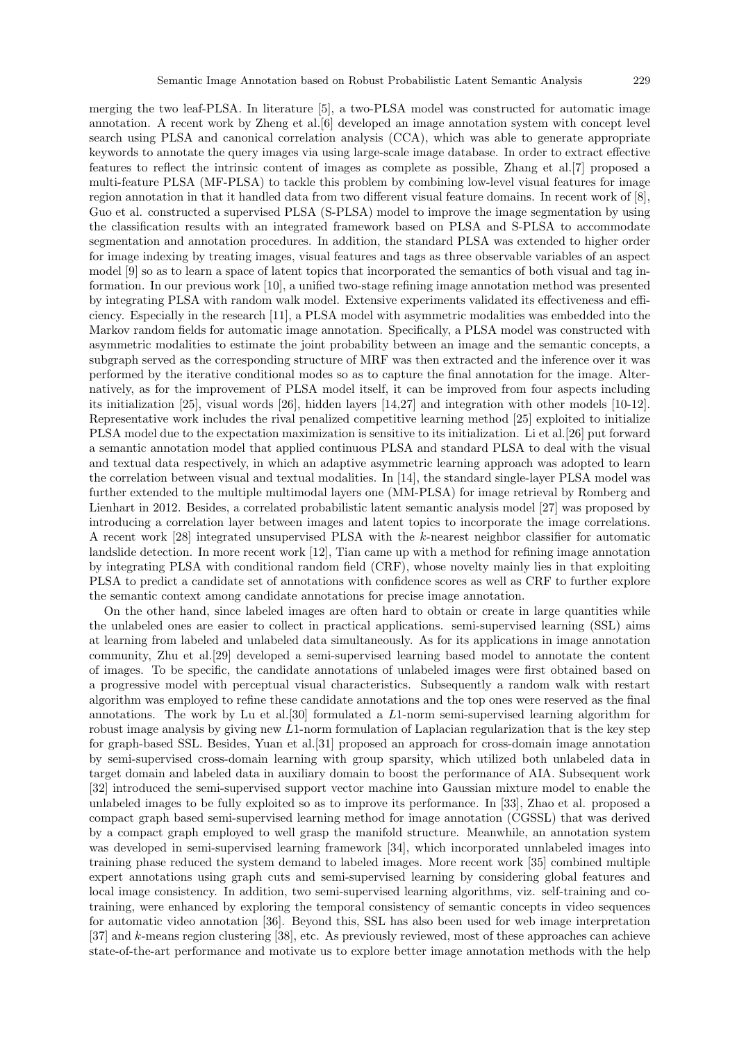merging the two leaf-PLSA. In literature [5], a two-PLSA model was constructed for automatic image annotation. A recent work by Zheng et al.[6] developed an image annotation system with concept level search using PLSA and canonical correlation analysis (CCA), which was able to generate appropriate keywords to annotate the query images via using large-scale image database. In order to extract effective features to reflect the intrinsic content of images as complete as possible, Zhang et al.[7] proposed a multi-feature PLSA (MF-PLSA) to tackle this problem by combining low-level visual features for image region annotation in that it handled data from two different visual feature domains. In recent work of [8], Guo et al. constructed a supervised PLSA (S-PLSA) model to improve the image segmentation by using the classification results with an integrated framework based on PLSA and S-PLSA to accommodate segmentation and annotation procedures. In addition, the standard PLSA was extended to higher order for image indexing by treating images, visual features and tags as three observable variables of an aspect model [9] so as to learn a space of latent topics that incorporated the semantics of both visual and tag information. In our previous work [10], a unified two-stage refining image annotation method was presented by integrating PLSA with random walk model. Extensive experiments validated its effectiveness and efficiency. Especially in the research [11], a PLSA model with asymmetric modalities was embedded into the Markov random fields for automatic image annotation. Specifically, a PLSA model was constructed with asymmetric modalities to estimate the joint probability between an image and the semantic concepts, a subgraph served as the corresponding structure of MRF was then extracted and the inference over it was performed by the iterative conditional modes so as to capture the final annotation for the image. Alternatively, as for the improvement of PLSA model itself, it can be improved from four aspects including its initialization [25], visual words [26], hidden layers [14,27] and integration with other models [10-12]. Representative work includes the rival penalized competitive learning method [25] exploited to initialize PLSA model due to the expectation maximization is sensitive to its initialization. Li et al.[26] put forward a semantic annotation model that applied continuous PLSA and standard PLSA to deal with the visual and textual data respectively, in which an adaptive asymmetric learning approach was adopted to learn the correlation between visual and textual modalities. In [14], the standard single-layer PLSA model was further extended to the multiple multimodal layers one (MM-PLSA) for image retrieval by Romberg and Lienhart in 2012. Besides, a correlated probabilistic latent semantic analysis model [27] was proposed by introducing a correlation layer between images and latent topics to incorporate the image correlations. A recent work  $[28]$  integrated unsupervised PLSA with the k-nearest neighbor classifier for automatic landslide detection. In more recent work [12], Tian came up with a method for refining image annotation by integrating PLSA with conditional random field (CRF), whose novelty mainly lies in that exploiting PLSA to predict a candidate set of annotations with confidence scores as well as CRF to further explore the semantic context among candidate annotations for precise image annotation.

On the other hand, since labeled images are often hard to obtain or create in large quantities while the unlabeled ones are easier to collect in practical applications. semi-supervised learning (SSL) aims at learning from labeled and unlabeled data simultaneously. As for its applications in image annotation community, Zhu et al.[29] developed a semi-supervised learning based model to annotate the content of images. To be specific, the candidate annotations of unlabeled images were first obtained based on a progressive model with perceptual visual characteristics. Subsequently a random walk with restart algorithm was employed to refine these candidate annotations and the top ones were reserved as the final annotations. The work by Lu et al.[30] formulated a L1-norm semi-supervised learning algorithm for robust image analysis by giving new L1-norm formulation of Laplacian regularization that is the key step for graph-based SSL. Besides, Yuan et al.[31] proposed an approach for cross-domain image annotation by semi-supervised cross-domain learning with group sparsity, which utilized both unlabeled data in target domain and labeled data in auxiliary domain to boost the performance of AIA. Subsequent work [32] introduced the semi-supervised support vector machine into Gaussian mixture model to enable the unlabeled images to be fully exploited so as to improve its performance. In [33], Zhao et al. proposed a compact graph based semi-supervised learning method for image annotation (CGSSL) that was derived by a compact graph employed to well grasp the manifold structure. Meanwhile, an annotation system was developed in semi-supervised learning framework [34], which incorporated unnlabeled images into training phase reduced the system demand to labeled images. More recent work [35] combined multiple expert annotations using graph cuts and semi-supervised learning by considering global features and local image consistency. In addition, two semi-supervised learning algorithms, viz. self-training and cotraining, were enhanced by exploring the temporal consistency of semantic concepts in video sequences for automatic video annotation [36]. Beyond this, SSL has also been used for web image interpretation [37] and k-means region clustering [38], etc. As previously reviewed, most of these approaches can achieve state-of-the-art performance and motivate us to explore better image annotation methods with the help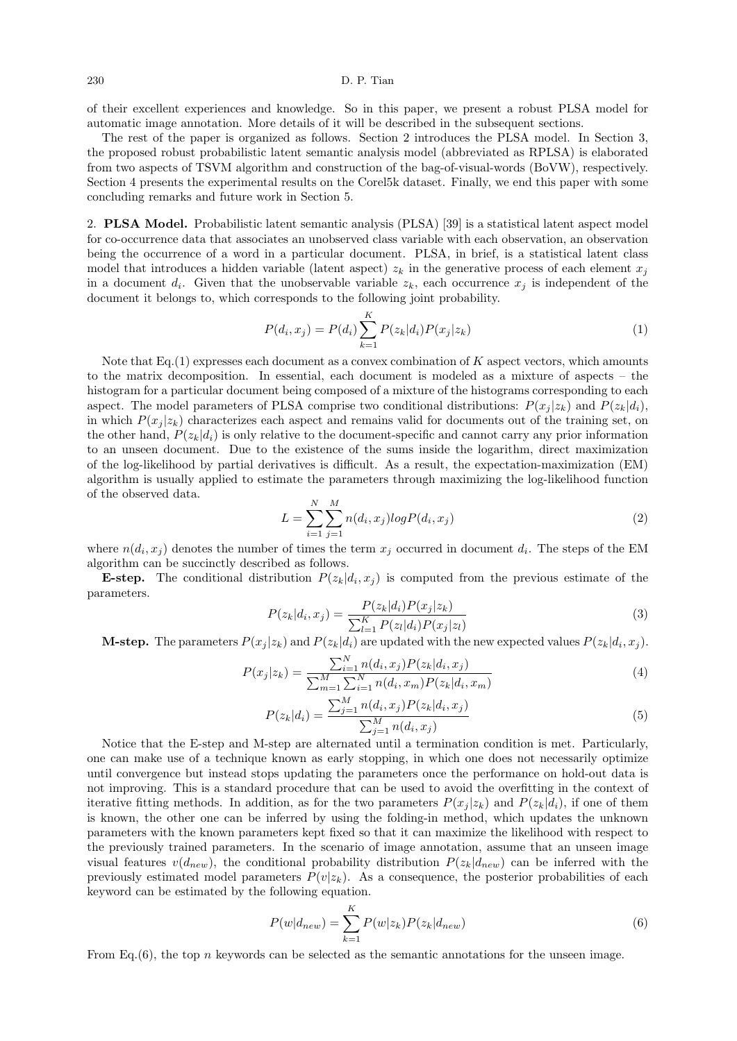of their excellent experiences and knowledge. So in this paper, we present a robust PLSA model for automatic image annotation. More details of it will be described in the subsequent sections.

The rest of the paper is organized as follows. Section 2 introduces the PLSA model. In Section 3, the proposed robust probabilistic latent semantic analysis model (abbreviated as RPLSA) is elaborated from two aspects of TSVM algorithm and construction of the bag-of-visual-words (BoVW), respectively. Section 4 presents the experimental results on the Corel5k dataset. Finally, we end this paper with some concluding remarks and future work in Section 5.

2. PLSA Model. Probabilistic latent semantic analysis (PLSA) [39] is a statistical latent aspect model for co-occurrence data that associates an unobserved class variable with each observation, an observation being the occurrence of a word in a particular document. PLSA, in brief, is a statistical latent class model that introduces a hidden variable (latent aspect)  $z_k$  in the generative process of each element  $x_j$ in a document  $d_i$ . Given that the unobservable variable  $z_k$ , each occurrence  $x_j$  is independent of the document it belongs to, which corresponds to the following joint probability.

$$
P(d_i, x_j) = P(d_i) \sum_{k=1}^{K} P(z_k | d_i) P(x_j | z_k)
$$
\n(1)

Note that Eq.(1) expresses each document as a convex combination of K aspect vectors, which amounts to the matrix decomposition. In essential, each document is modeled as a mixture of aspects – the histogram for a particular document being composed of a mixture of the histograms corresponding to each aspect. The model parameters of PLSA comprise two conditional distributions:  $P(x_i | z_k)$  and  $P(z_k|d_i)$ , in which  $P(x_i | z_k)$  characterizes each aspect and remains valid for documents out of the training set, on the other hand,  $P(z_k|d_i)$  is only relative to the document-specific and cannot carry any prior information to an unseen document. Due to the existence of the sums inside the logarithm, direct maximization of the log-likelihood by partial derivatives is difficult. As a result, the expectation-maximization (EM) algorithm is usually applied to estimate the parameters through maximizing the log-likelihood function of the observed data.

$$
L = \sum_{i=1}^{N} \sum_{j=1}^{M} n(d_i, x_j) \log P(d_i, x_j)
$$
\n(2)

where  $n(d_i, x_j)$  denotes the number of times the term  $x_j$  occurred in document  $d_i$ . The steps of the EM algorithm can be succinctly described as follows.

**E-step.** The conditional distribution  $P(z_k|d_i, x_j)$  is computed from the previous estimate of the parameters.

$$
P(z_k|d_i, x_j) = \frac{P(z_k|d_i)P(x_j|z_k)}{\sum_{l=1}^{K} P(z_l|d_i)P(x_j|z_l)}
$$
(3)

**M-step.** The parameters  $P(x_j | z_k)$  and  $P(z_k | d_i)$  are updated with the new expected values  $P(z_k | d_i, x_j)$ .

$$
P(x_j|z_k) = \frac{\sum_{i=1}^{N} n(d_i, x_j) P(z_k|d_i, x_j)}{\sum_{m=1}^{M} \sum_{i=1}^{N} n(d_i, x_m) P(z_k|d_i, x_m)}
$$
(4)

$$
P(z_k|d_i) = \frac{\sum_{j=1}^{M} n(d_i, x_j) P(z_k|d_i, x_j)}{\sum_{j=1}^{M} n(d_i, x_j)}
$$
(5)

Notice that the E-step and M-step are alternated until a termination condition is met. Particularly, one can make use of a technique known as early stopping, in which one does not necessarily optimize until convergence but instead stops updating the parameters once the performance on hold-out data is not improving. This is a standard procedure that can be used to avoid the overfitting in the context of iterative fitting methods. In addition, as for the two parameters  $P(x_i | z_k)$  and  $P(z_k | d_i)$ , if one of them is known, the other one can be inferred by using the folding-in method, which updates the unknown parameters with the known parameters kept fixed so that it can maximize the likelihood with respect to the previously trained parameters. In the scenario of image annotation, assume that an unseen image visual features  $v(d_{new})$ , the conditional probability distribution  $P(z_k|d_{new})$  can be inferred with the previously estimated model parameters  $P(v|z_k)$ . As a consequence, the posterior probabilities of each keyword can be estimated by the following equation.

$$
P(w|d_{new}) = \sum_{k=1}^{K} P(w|z_k) P(z_k|d_{new})
$$
\n(6)

From Eq.  $(6)$ , the top n keywords can be selected as the semantic annotations for the unseen image.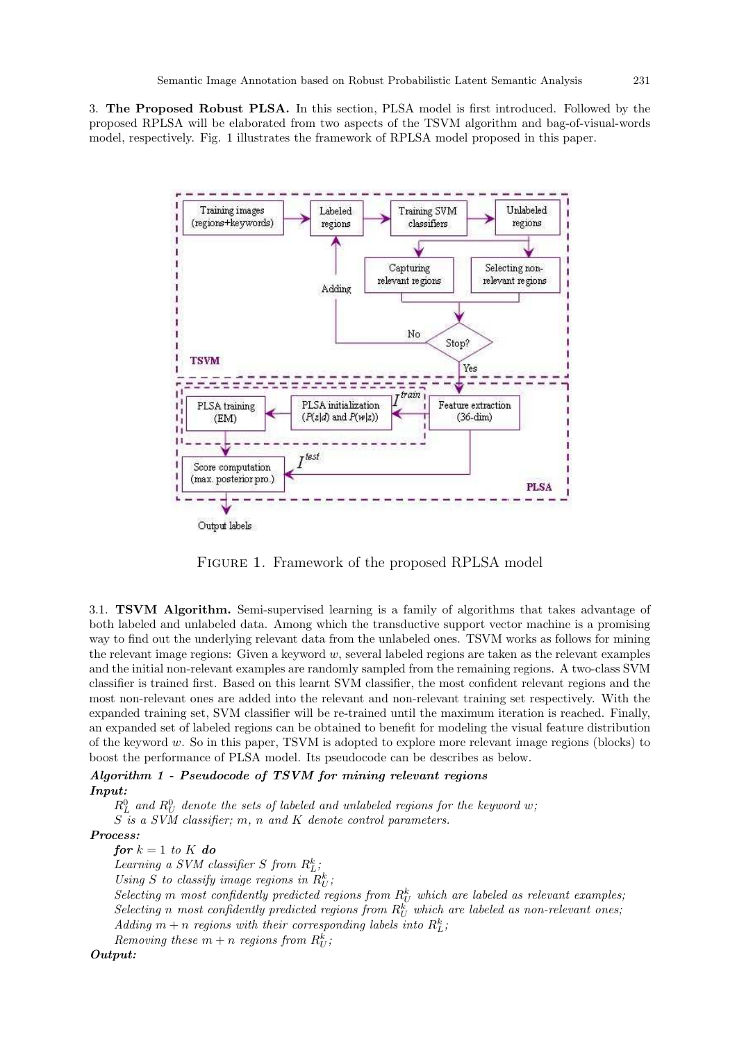3. The Proposed Robust PLSA. In this section, PLSA model is first introduced. Followed by the proposed RPLSA will be elaborated from two aspects of the TSVM algorithm and bag-of-visual-words model, respectively. Fig. 1 illustrates the framework of RPLSA model proposed in this paper.



Figure 1. Framework of the proposed RPLSA model

3.1. TSVM Algorithm. Semi-supervised learning is a family of algorithms that takes advantage of both labeled and unlabeled data. Among which the transductive support vector machine is a promising way to find out the underlying relevant data from the unlabeled ones. TSVM works as follows for mining the relevant image regions: Given a keyword  $w$ , several labeled regions are taken as the relevant examples and the initial non-relevant examples are randomly sampled from the remaining regions. A two-class SVM classifier is trained first. Based on this learnt SVM classifier, the most confident relevant regions and the most non-relevant ones are added into the relevant and non-relevant training set respectively. With the expanded training set, SVM classifier will be re-trained until the maximum iteration is reached. Finally, an expanded set of labeled regions can be obtained to benefit for modeling the visual feature distribution of the keyword w. So in this paper, TSVM is adopted to explore more relevant image regions (blocks) to boost the performance of PLSA model. Its pseudocode can be describes as below.

#### Algorithm 1 - Pseudocode of TSVM for mining relevant regions Input:

 $R_L^0$  and  $R_U^0$  denote the sets of labeled and unlabeled regions for the keyword w; S is a SVM classifier; m, n and K denote control parameters.

#### Process:

for  $k = 1$  to K do

Learning a SVM classifier S from  $R_L^k$ ;

Using S to classify image regions in  $R_U^k$ ;

Selecting m most confidently predicted regions from  $R_U^k$  which are labeled as relevant examples, Selecting n most confidently predicted regions from  $R_U^k$  which are labeled as non-relevant ones;  $Adding\ m+n\ regions\ with\ their\ corresponding\ labels\ into\ R^k_L;$ 

Removing these  $m + n$  regions from  $R_U^k$ ;

Output: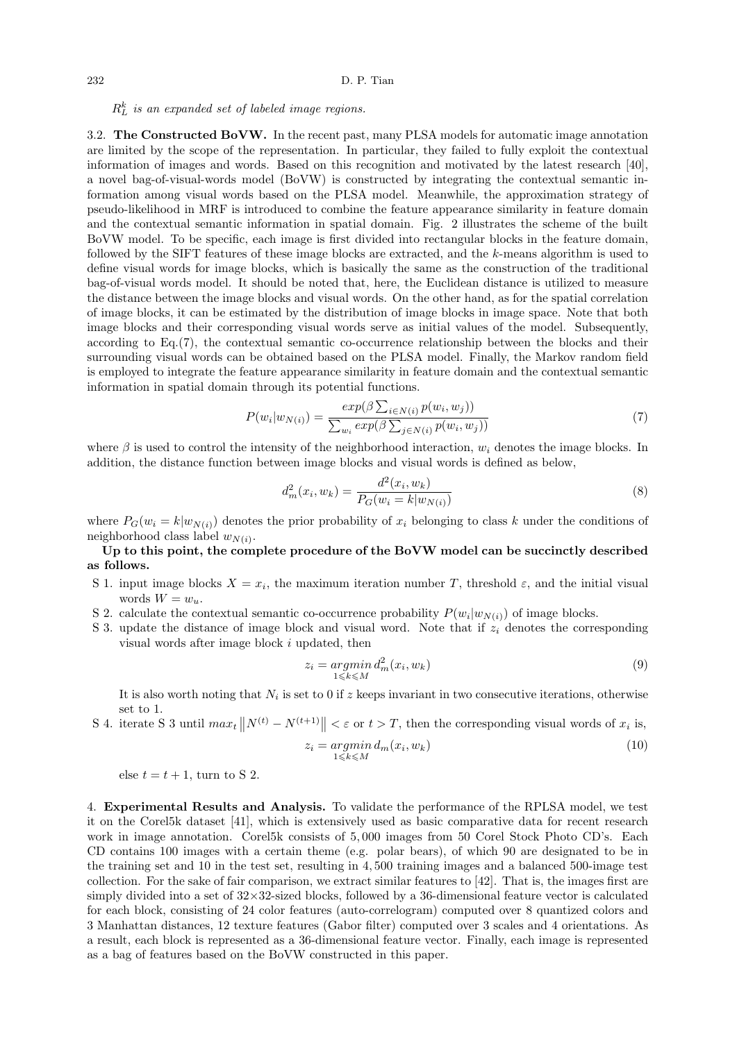#### 232 D. P. Tian

## $R_L^k$  is an expanded set of labeled image regions.

3.2. The Constructed BoVW. In the recent past, many PLSA models for automatic image annotation are limited by the scope of the representation. In particular, they failed to fully exploit the contextual information of images and words. Based on this recognition and motivated by the latest research [40], a novel bag-of-visual-words model (BoVW) is constructed by integrating the contextual semantic information among visual words based on the PLSA model. Meanwhile, the approximation strategy of pseudo-likelihood in MRF is introduced to combine the feature appearance similarity in feature domain and the contextual semantic information in spatial domain. Fig. 2 illustrates the scheme of the built BoVW model. To be specific, each image is first divided into rectangular blocks in the feature domain, followed by the SIFT features of these image blocks are extracted, and the k-means algorithm is used to define visual words for image blocks, which is basically the same as the construction of the traditional bag-of-visual words model. It should be noted that, here, the Euclidean distance is utilized to measure the distance between the image blocks and visual words. On the other hand, as for the spatial correlation of image blocks, it can be estimated by the distribution of image blocks in image space. Note that both image blocks and their corresponding visual words serve as initial values of the model. Subsequently, according to Eq.(7), the contextual semantic co-occurrence relationship between the blocks and their surrounding visual words can be obtained based on the PLSA model. Finally, the Markov random field is employed to integrate the feature appearance similarity in feature domain and the contextual semantic information in spatial domain through its potential functions.

$$
P(w_i|w_{N(i)}) = \frac{\exp(\beta \sum_{i \in N(i)} p(w_i, w_j))}{\sum_{w_i} \exp(\beta \sum_{j \in N(i)} p(w_i, w_j))}
$$
(7)

where  $\beta$  is used to control the intensity of the neighborhood interaction,  $w_i$  denotes the image blocks. In addition, the distance function between image blocks and visual words is defined as below,

$$
d_m^2(x_i, w_k) = \frac{d^2(x_i, w_k)}{P_G(w_i = k|w_{N(i)})}
$$
\n(8)

where  $P_G(w_i = k|w_{N(i)})$  denotes the prior probability of  $x_i$  belonging to class k under the conditions of neighborhood class label  $w_{N(i)}$ .

### Up to this point, the complete procedure of the BoVW model can be succinctly described as follows.

- S 1. input image blocks  $X = x_i$ , the maximum iteration number T, threshold  $\varepsilon$ , and the initial visual words  $W = w_u$ .
- S 2. calculate the contextual semantic co-occurrence probability  $P(w_i|w_{N(i)})$  of image blocks.
- S 3. update the distance of image block and visual word. Note that if  $z_i$  denotes the corresponding visual words after image block i updated, then

$$
z_i = \operatorname*{argmin}_{1 \le k \le M} d_m^2(x_i, w_k) \tag{9}
$$

It is also worth noting that  $N_i$  is set to 0 if z keeps invariant in two consecutive iterations, otherwise set to 1.

S 4. iterate S 3 until  $max_t ||N^{(t)} - N^{(t+1)}|| < \varepsilon$  or  $t > T$ , then the corresponding visual words of  $x_i$  is,

$$
z_i = \underset{1 \le k \le M}{\operatorname{argmin}} d_m(x_i, w_k) \tag{10}
$$

else  $t = t + 1$ , turn to S 2.

4. Experimental Results and Analysis. To validate the performance of the RPLSA model, we test it on the Corel5k dataset [41], which is extensively used as basic comparative data for recent research work in image annotation. Corel5k consists of 5, 000 images from 50 Corel Stock Photo CD's. Each CD contains 100 images with a certain theme (e.g. polar bears), of which 90 are designated to be in the training set and 10 in the test set, resulting in 4, 500 training images and a balanced 500-image test collection. For the sake of fair comparison, we extract similar features to [42]. That is, the images first are simply divided into a set of 32×32-sized blocks, followed by a 36-dimensional feature vector is calculated for each block, consisting of 24 color features (auto-correlogram) computed over 8 quantized colors and 3 Manhattan distances, 12 texture features (Gabor filter) computed over 3 scales and 4 orientations. As a result, each block is represented as a 36-dimensional feature vector. Finally, each image is represented as a bag of features based on the BoVW constructed in this paper.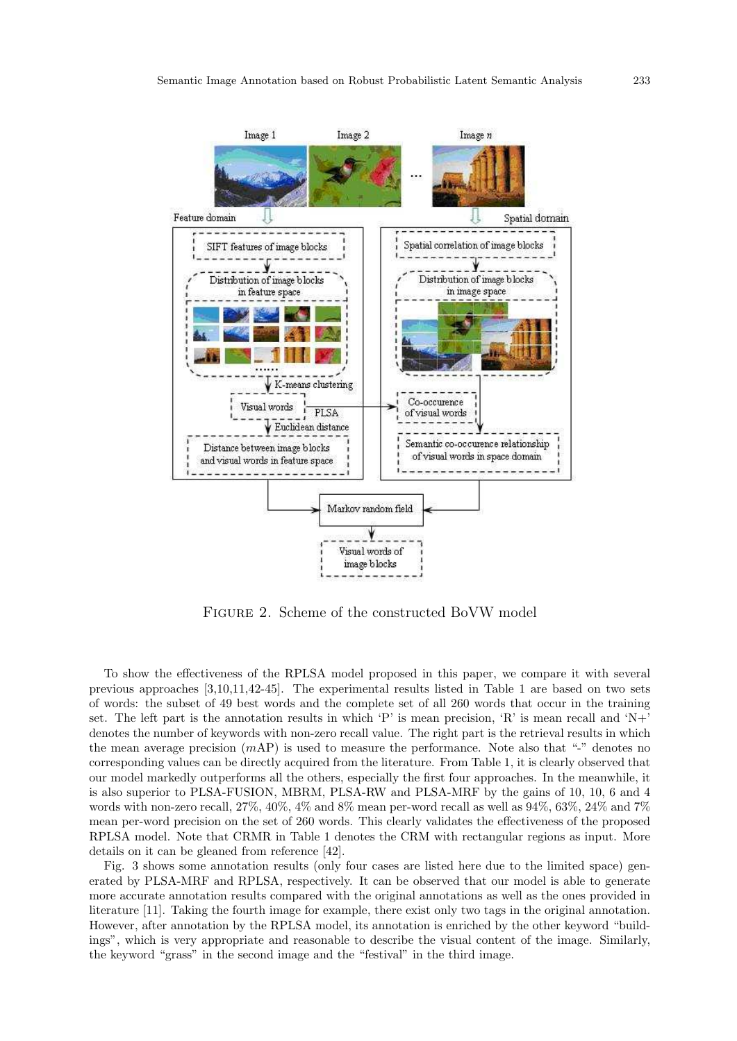

Figure 2. Scheme of the constructed BoVW model

To show the effectiveness of the RPLSA model proposed in this paper, we compare it with several previous approaches [3,10,11,42-45]. The experimental results listed in Table 1 are based on two sets of words: the subset of 49 best words and the complete set of all 260 words that occur in the training set. The left part is the annotation results in which 'P' is mean precision, 'R' is mean recall and 'N+' denotes the number of keywords with non-zero recall value. The right part is the retrieval results in which the mean average precision  $(mAP)$  is used to measure the performance. Note also that "-" denotes no corresponding values can be directly acquired from the literature. From Table 1, it is clearly observed that our model markedly outperforms all the others, especially the first four approaches. In the meanwhile, it is also superior to PLSA-FUSION, MBRM, PLSA-RW and PLSA-MRF by the gains of 10, 10, 6 and 4 words with non-zero recall, 27%, 40%, 4% and 8% mean per-word recall as well as 94%, 63%, 24% and 7% mean per-word precision on the set of 260 words. This clearly validates the effectiveness of the proposed RPLSA model. Note that CRMR in Table 1 denotes the CRM with rectangular regions as input. More details on it can be gleaned from reference [42].

Fig. 3 shows some annotation results (only four cases are listed here due to the limited space) generated by PLSA-MRF and RPLSA, respectively. It can be observed that our model is able to generate more accurate annotation results compared with the original annotations as well as the ones provided in literature [11]. Taking the fourth image for example, there exist only two tags in the original annotation. However, after annotation by the RPLSA model, its annotation is enriched by the other keyword "buildings", which is very appropriate and reasonable to describe the visual content of the image. Similarly, the keyword "grass" in the second image and the "festival" in the third image.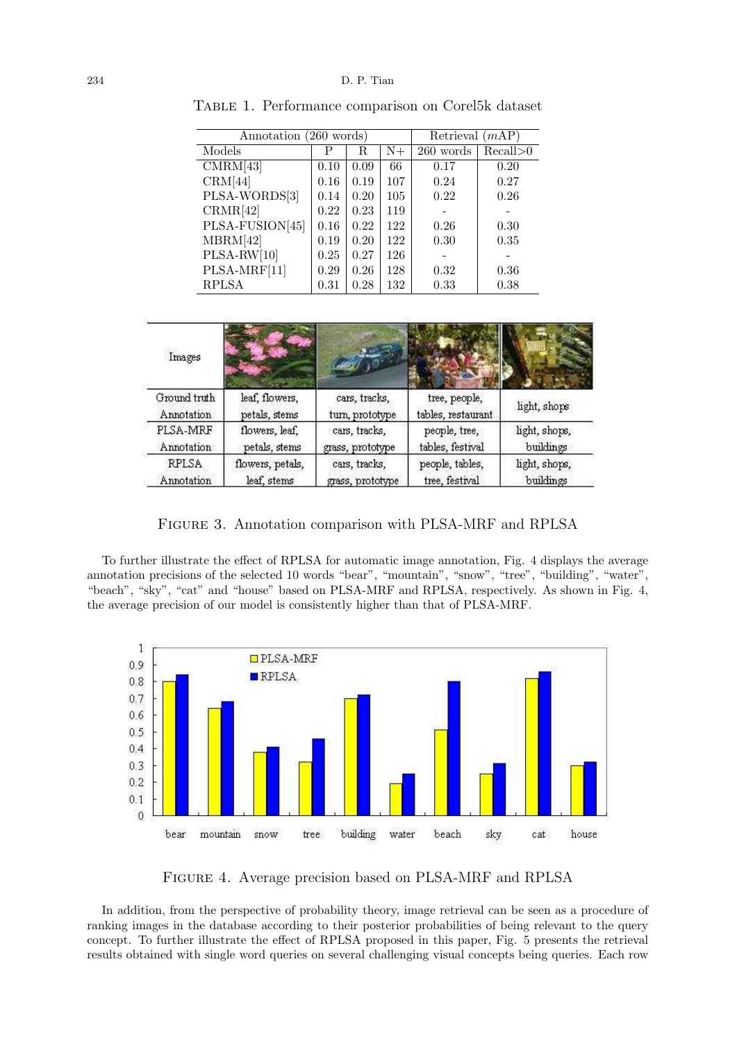| Annotation (260 words) | Retrieval $(mAP)$ |      |      |           |            |
|------------------------|-------------------|------|------|-----------|------------|
| Models                 | Р                 | R    | $N+$ | 260 words | Recall > 0 |
| $CMR\overline{M[43]}$  | 0.10              | 0.09 | 66   | 0.17      | 0.20       |
| CRM[44]                | 0.16              | 0.19 | 107  | 0.24      | 0.27       |
| PLSA-WORDS[3]          | 0.14              | 0.20 | 105  | 0.22      | 0.26       |
| CRMR[42]               | 0.22              | 0.23 | 119  |           |            |
| PLSA-FUSION[45]        | 0.16              | 0.22 | 122  | 0.26      | 0.30       |
| MBRM[42]               | 0.19              | 0.20 | 122  | 0.30      | 0.35       |
| $PLSA-RW[10]$          | 0.25              | 0.27 | 126  |           |            |
| PLSA-MRF[11]           | 0.29              | 0.26 | 128  | 0.32      | 0.36       |
| <b>RPLSA</b>           | 0.31              | 0.28 | 132  | 0.33      | 0.38       |

Table 1. Performance comparison on Corel5k dataset

| Images       |                  |                  |                    |               |
|--------------|------------------|------------------|--------------------|---------------|
| Ground truth | leaf, flowers,   | cars, tracks,    | tree, people,      | light, shops  |
| Annotation   | petals, stems    | turn, prototype  | tables, restaurant |               |
| PLSA-MRF     | flowers, leaf,   | cars, tracks,    | people, tree,      | light, shops, |
| Annotation   | petals, stems    | grass, prototype | tables, festival   | buildings     |
| <b>RPLSA</b> | flowers, petals, | cars, tracks,    | people, tables,    | light, shops, |
| Annotation   | leaf, stems      | grass, prototype | tree, festival     | buildings     |

Figure 3. Annotation comparison with PLSA-MRF and RPLSA

To further illustrate the effect of RPLSA for automatic image annotation, Fig. 4 displays the average annotation precisions of the selected 10 words "bear", "mountain", "snow", "tree", "building", "water", "beach", "sky", "cat" and "house" based on PLSA-MRF and RPLSA, respectively. As shown in Fig. 4, the average precision of our model is consistently higher than that of PLSA-MRF.



Figure 4. Average precision based on PLSA-MRF and RPLSA

In addition, from the perspective of probability theory, image retrieval can be seen as a procedure of ranking images in the database according to their posterior probabilities of being relevant to the query concept. To further illustrate the effect of RPLSA proposed in this paper, Fig. 5 presents the retrieval results obtained with single word queries on several challenging visual concepts being queries. Each row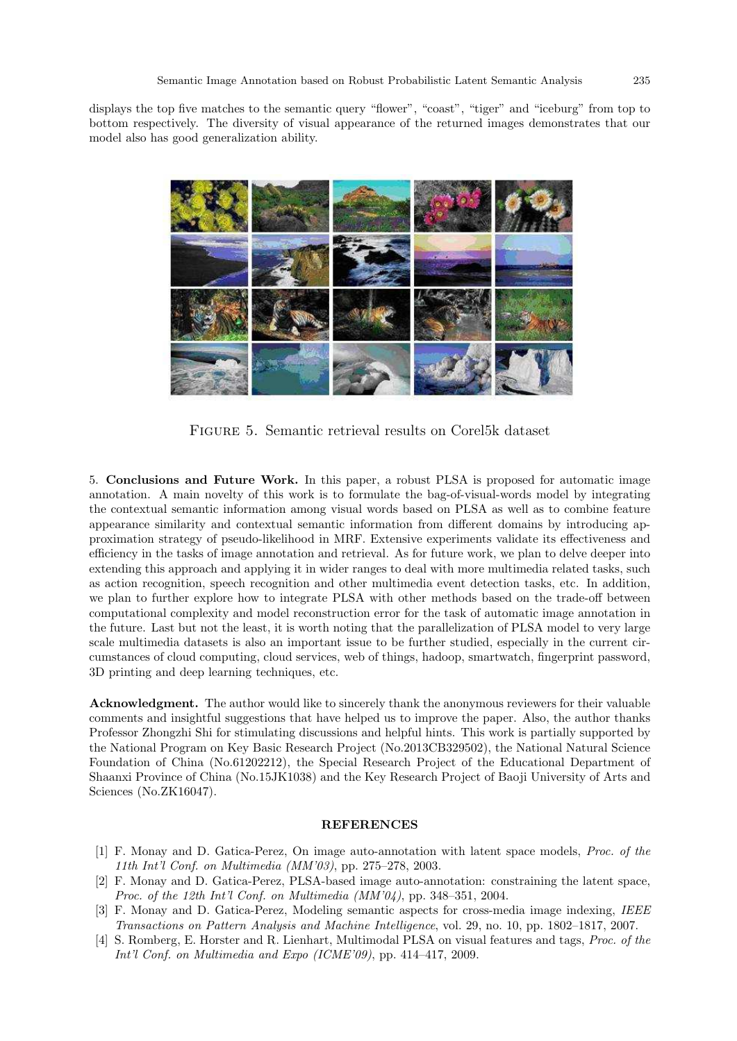displays the top five matches to the semantic query "flower", "coast", "tiger" and "iceburg" from top to bottom respectively. The diversity of visual appearance of the returned images demonstrates that our model also has good generalization ability.



Figure 5. Semantic retrieval results on Corel5k dataset

5. Conclusions and Future Work. In this paper, a robust PLSA is proposed for automatic image annotation. A main novelty of this work is to formulate the bag-of-visual-words model by integrating the contextual semantic information among visual words based on PLSA as well as to combine feature appearance similarity and contextual semantic information from different domains by introducing approximation strategy of pseudo-likelihood in MRF. Extensive experiments validate its effectiveness and efficiency in the tasks of image annotation and retrieval. As for future work, we plan to delve deeper into extending this approach and applying it in wider ranges to deal with more multimedia related tasks, such as action recognition, speech recognition and other multimedia event detection tasks, etc. In addition, we plan to further explore how to integrate PLSA with other methods based on the trade-off between computational complexity and model reconstruction error for the task of automatic image annotation in the future. Last but not the least, it is worth noting that the parallelization of PLSA model to very large scale multimedia datasets is also an important issue to be further studied, especially in the current circumstances of cloud computing, cloud services, web of things, hadoop, smartwatch, fingerprint password, 3D printing and deep learning techniques, etc.

Acknowledgment. The author would like to sincerely thank the anonymous reviewers for their valuable comments and insightful suggestions that have helped us to improve the paper. Also, the author thanks Professor Zhongzhi Shi for stimulating discussions and helpful hints. This work is partially supported by the National Program on Key Basic Research Project (No.2013CB329502), the National Natural Science Foundation of China (No.61202212), the Special Research Project of the Educational Department of Shaanxi Province of China (No.15JK1038) and the Key Research Project of Baoji University of Arts and Sciences (No.ZK16047).

#### **REFERENCES**

- [1] F. Monay and D. Gatica-Perez, On image auto-annotation with latent space models, Proc. of the 11th Int'l Conf. on Multimedia (MM'03), pp. 275–278, 2003.
- [2] F. Monay and D. Gatica-Perez, PLSA-based image auto-annotation: constraining the latent space, Proc. of the 12th Int'l Conf. on Multimedia (MM'04), pp. 348–351, 2004.
- [3] F. Monay and D. Gatica-Perez, Modeling semantic aspects for cross-media image indexing, IEEE Transactions on Pattern Analysis and Machine Intelligence, vol. 29, no. 10, pp. 1802–1817, 2007.
- [4] S. Romberg, E. Horster and R. Lienhart, Multimodal PLSA on visual features and tags, Proc. of the Int'l Conf. on Multimedia and Expo (ICME'09), pp. 414–417, 2009.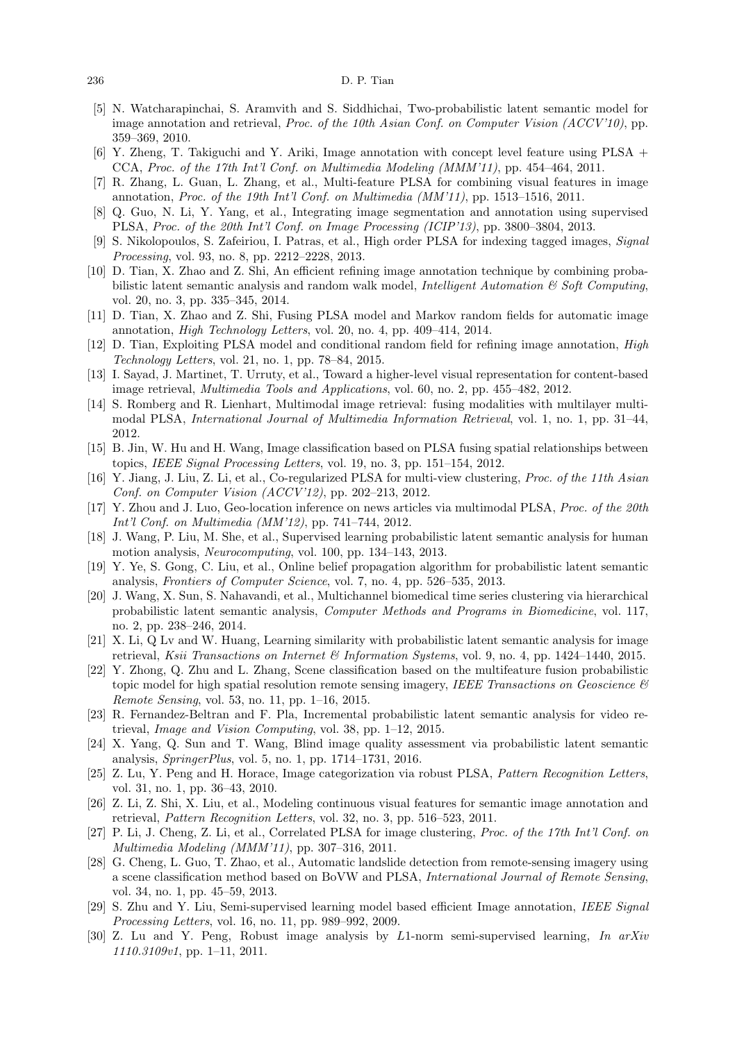#### 236 D. P. Tian

- [5] N. Watcharapinchai, S. Aramvith and S. Siddhichai, Two-probabilistic latent semantic model for image annotation and retrieval, Proc. of the 10th Asian Conf. on Computer Vision (ACCV'10), pp. 359–369, 2010.
- [6] Y. Zheng, T. Takiguchi and Y. Ariki, Image annotation with concept level feature using PLSA + CCA, Proc. of the 17th Int'l Conf. on Multimedia Modeling (MMM'11), pp. 454–464, 2011.
- [7] R. Zhang, L. Guan, L. Zhang, et al., Multi-feature PLSA for combining visual features in image annotation, Proc. of the 19th Int'l Conf. on Multimedia (MM'11), pp. 1513–1516, 2011.
- [8] Q. Guo, N. Li, Y. Yang, et al., Integrating image segmentation and annotation using supervised PLSA, Proc. of the 20th Int'l Conf. on Image Processing (ICIP'13), pp. 3800–3804, 2013.
- [9] S. Nikolopoulos, S. Zafeiriou, I. Patras, et al., High order PLSA for indexing tagged images, Signal Processing, vol. 93, no. 8, pp. 2212–2228, 2013.
- [10] D. Tian, X. Zhao and Z. Shi, An efficient refining image annotation technique by combining probabilistic latent semantic analysis and random walk model, *Intelligent Automation*  $\&$  *Soft Computing*, vol. 20, no. 3, pp. 335–345, 2014.
- [11] D. Tian, X. Zhao and Z. Shi, Fusing PLSA model and Markov random fields for automatic image annotation, High Technology Letters, vol. 20, no. 4, pp. 409–414, 2014.
- [12] D. Tian, Exploiting PLSA model and conditional random field for refining image annotation, High Technology Letters, vol. 21, no. 1, pp. 78–84, 2015.
- [13] I. Sayad, J. Martinet, T. Urruty, et al., Toward a higher-level visual representation for content-based image retrieval, Multimedia Tools and Applications, vol. 60, no. 2, pp. 455–482, 2012.
- [14] S. Romberg and R. Lienhart, Multimodal image retrieval: fusing modalities with multilayer multimodal PLSA, International Journal of Multimedia Information Retrieval, vol. 1, no. 1, pp. 31–44, 2012.
- [15] B. Jin, W. Hu and H. Wang, Image classification based on PLSA fusing spatial relationships between topics, IEEE Signal Processing Letters, vol. 19, no. 3, pp. 151–154, 2012.
- [16] Y. Jiang, J. Liu, Z. Li, et al., Co-regularized PLSA for multi-view clustering, Proc. of the 11th Asian Conf. on Computer Vision (ACCV'12), pp. 202–213, 2012.
- [17] Y. Zhou and J. Luo, Geo-location inference on news articles via multimodal PLSA, Proc. of the 20th Int'l Conf. on Multimedia (MM'12), pp. 741–744, 2012.
- [18] J. Wang, P. Liu, M. She, et al., Supervised learning probabilistic latent semantic analysis for human motion analysis, Neurocomputing, vol. 100, pp. 134–143, 2013.
- [19] Y. Ye, S. Gong, C. Liu, et al., Online belief propagation algorithm for probabilistic latent semantic analysis, Frontiers of Computer Science, vol. 7, no. 4, pp. 526–535, 2013.
- [20] J. Wang, X. Sun, S. Nahavandi, et al., Multichannel biomedical time series clustering via hierarchical probabilistic latent semantic analysis, Computer Methods and Programs in Biomedicine, vol. 117, no. 2, pp. 238–246, 2014.
- [21] X. Li, Q Lv and W. Huang, Learning similarity with probabilistic latent semantic analysis for image retrieval, Ksii Transactions on Internet & Information Systems, vol. 9, no. 4, pp. 1424–1440, 2015.
- [22] Y. Zhong, Q. Zhu and L. Zhang, Scene classification based on the multifeature fusion probabilistic topic model for high spatial resolution remote sensing imagery, IEEE Transactions on Geoscience  $\mathcal{B}$ Remote Sensing, vol. 53, no. 11, pp. 1–16, 2015.
- [23] R. Fernandez-Beltran and F. Pla, Incremental probabilistic latent semantic analysis for video retrieval, Image and Vision Computing, vol. 38, pp. 1–12, 2015.
- [24] X. Yang, Q. Sun and T. Wang, Blind image quality assessment via probabilistic latent semantic analysis, SpringerPlus, vol. 5, no. 1, pp. 1714–1731, 2016.
- [25] Z. Lu, Y. Peng and H. Horace, Image categorization via robust PLSA, Pattern Recognition Letters, vol. 31, no. 1, pp. 36–43, 2010.
- [26] Z. Li, Z. Shi, X. Liu, et al., Modeling continuous visual features for semantic image annotation and retrieval, Pattern Recognition Letters, vol. 32, no. 3, pp. 516–523, 2011.
- [27] P. Li, J. Cheng, Z. Li, et al., Correlated PLSA for image clustering, Proc. of the 17th Int'l Conf. on Multimedia Modeling (MMM'11), pp. 307–316, 2011.
- [28] G. Cheng, L. Guo, T. Zhao, et al., Automatic landslide detection from remote-sensing imagery using a scene classification method based on BoVW and PLSA, International Journal of Remote Sensing, vol. 34, no. 1, pp. 45–59, 2013.
- [29] S. Zhu and Y. Liu, Semi-supervised learning model based efficient Image annotation, IEEE Signal Processing Letters, vol. 16, no. 11, pp. 989–992, 2009.
- [30] Z. Lu and Y. Peng, Robust image analysis by L1-norm semi-supervised learning, In arXiv 1110.3109v1, pp. 1–11, 2011.